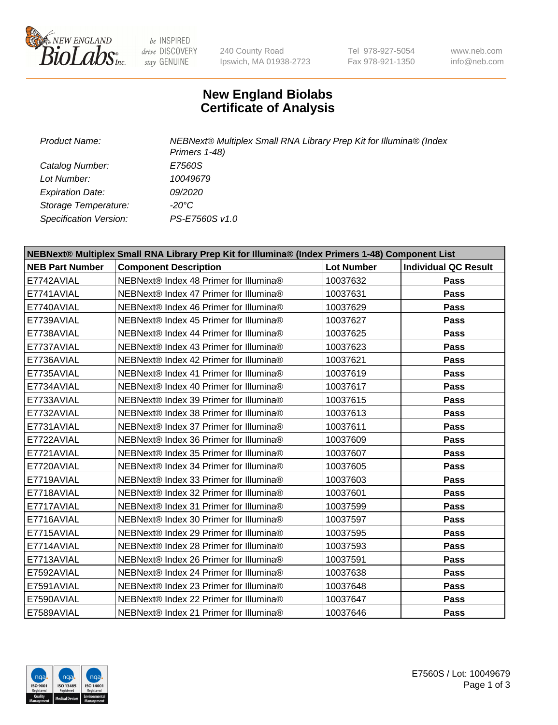

 $be$  INSPIRED drive DISCOVERY stay GENUINE

240 County Road Ipswich, MA 01938-2723 Tel 978-927-5054 Fax 978-921-1350 www.neb.com info@neb.com

## **New England Biolabs Certificate of Analysis**

| Product Name:           | NEBNext® Multiplex Small RNA Library Prep Kit for Illumina® (Index<br>Primers 1-48) |
|-------------------------|-------------------------------------------------------------------------------------|
| Catalog Number:         | E7560S                                                                              |
| Lot Number:             | 10049679                                                                            |
| <b>Expiration Date:</b> | <i>09/2020</i>                                                                      |
| Storage Temperature:    | -20°C                                                                               |
| Specification Version:  | PS-E7560S v1.0                                                                      |

| NEBNext® Multiplex Small RNA Library Prep Kit for Illumina® (Index Primers 1-48) Component List |                                        |                   |                             |
|-------------------------------------------------------------------------------------------------|----------------------------------------|-------------------|-----------------------------|
| <b>NEB Part Number</b>                                                                          | <b>Component Description</b>           | <b>Lot Number</b> | <b>Individual QC Result</b> |
| E7742AVIAL                                                                                      | NEBNext® Index 48 Primer for Illumina® | 10037632          | <b>Pass</b>                 |
| E7741AVIAL                                                                                      | NEBNext® Index 47 Primer for Illumina® | 10037631          | <b>Pass</b>                 |
| E7740AVIAL                                                                                      | NEBNext® Index 46 Primer for Illumina® | 10037629          | <b>Pass</b>                 |
| E7739AVIAL                                                                                      | NEBNext® Index 45 Primer for Illumina® | 10037627          | <b>Pass</b>                 |
| E7738AVIAL                                                                                      | NEBNext® Index 44 Primer for Illumina® | 10037625          | <b>Pass</b>                 |
| E7737AVIAL                                                                                      | NEBNext® Index 43 Primer for Illumina® | 10037623          | <b>Pass</b>                 |
| E7736AVIAL                                                                                      | NEBNext® Index 42 Primer for Illumina® | 10037621          | Pass                        |
| E7735AVIAL                                                                                      | NEBNext® Index 41 Primer for Illumina® | 10037619          | <b>Pass</b>                 |
| E7734AVIAL                                                                                      | NEBNext® Index 40 Primer for Illumina® | 10037617          | <b>Pass</b>                 |
| E7733AVIAL                                                                                      | NEBNext® Index 39 Primer for Illumina® | 10037615          | <b>Pass</b>                 |
| E7732AVIAL                                                                                      | NEBNext® Index 38 Primer for Illumina® | 10037613          | <b>Pass</b>                 |
| E7731AVIAL                                                                                      | NEBNext® Index 37 Primer for Illumina® | 10037611          | <b>Pass</b>                 |
| E7722AVIAL                                                                                      | NEBNext® Index 36 Primer for Illumina® | 10037609          | <b>Pass</b>                 |
| E7721AVIAL                                                                                      | NEBNext® Index 35 Primer for Illumina® | 10037607          | <b>Pass</b>                 |
| E7720AVIAL                                                                                      | NEBNext® Index 34 Primer for Illumina® | 10037605          | <b>Pass</b>                 |
| E7719AVIAL                                                                                      | NEBNext® Index 33 Primer for Illumina® | 10037603          | <b>Pass</b>                 |
| E7718AVIAL                                                                                      | NEBNext® Index 32 Primer for Illumina® | 10037601          | <b>Pass</b>                 |
| E7717AVIAL                                                                                      | NEBNext® Index 31 Primer for Illumina® | 10037599          | <b>Pass</b>                 |
| E7716AVIAL                                                                                      | NEBNext® Index 30 Primer for Illumina® | 10037597          | <b>Pass</b>                 |
| E7715AVIAL                                                                                      | NEBNext® Index 29 Primer for Illumina® | 10037595          | <b>Pass</b>                 |
| E7714AVIAL                                                                                      | NEBNext® Index 28 Primer for Illumina® | 10037593          | <b>Pass</b>                 |
| E7713AVIAL                                                                                      | NEBNext® Index 26 Primer for Illumina® | 10037591          | <b>Pass</b>                 |
| E7592AVIAL                                                                                      | NEBNext® Index 24 Primer for Illumina® | 10037638          | <b>Pass</b>                 |
| E7591AVIAL                                                                                      | NEBNext® Index 23 Primer for Illumina® | 10037648          | Pass                        |
| E7590AVIAL                                                                                      | NEBNext® Index 22 Primer for Illumina® | 10037647          | <b>Pass</b>                 |
| E7589AVIAL                                                                                      | NEBNext® Index 21 Primer for Illumina® | 10037646          | Pass                        |

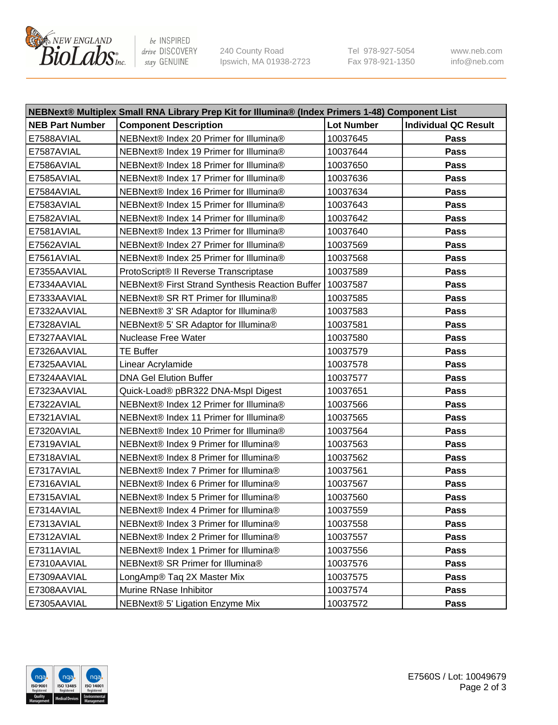

be INSPIRED drive DISCOVERY stay GENUINE

240 County Road Ipswich, MA 01938-2723 Tel 978-927-5054 Fax 978-921-1350 www.neb.com info@neb.com

| NEBNext® Multiplex Small RNA Library Prep Kit for Illumina® (Index Primers 1-48) Component List |                                                            |                   |                             |
|-------------------------------------------------------------------------------------------------|------------------------------------------------------------|-------------------|-----------------------------|
| <b>NEB Part Number</b>                                                                          | <b>Component Description</b>                               | <b>Lot Number</b> | <b>Individual QC Result</b> |
| E7588AVIAL                                                                                      | NEBNext® Index 20 Primer for Illumina®                     | 10037645          | Pass                        |
| E7587AVIAL                                                                                      | NEBNext® Index 19 Primer for Illumina®                     | 10037644          | Pass                        |
| E7586AVIAL                                                                                      | NEBNext® Index 18 Primer for Illumina®                     | 10037650          | Pass                        |
| E7585AVIAL                                                                                      | NEBNext® Index 17 Primer for Illumina®                     | 10037636          | Pass                        |
| E7584AVIAL                                                                                      | NEBNext® Index 16 Primer for Illumina®                     | 10037634          | Pass                        |
| E7583AVIAL                                                                                      | NEBNext® Index 15 Primer for Illumina®                     | 10037643          | Pass                        |
| E7582AVIAL                                                                                      | NEBNext® Index 14 Primer for Illumina®                     | 10037642          | Pass                        |
| E7581AVIAL                                                                                      | NEBNext® Index 13 Primer for Illumina®                     | 10037640          | Pass                        |
| E7562AVIAL                                                                                      | NEBNext® Index 27 Primer for Illumina®                     | 10037569          | Pass                        |
| E7561AVIAL                                                                                      | NEBNext® Index 25 Primer for Illumina®                     | 10037568          | Pass                        |
| E7355AAVIAL                                                                                     | ProtoScript® II Reverse Transcriptase                      | 10037589          | Pass                        |
| E7334AAVIAL                                                                                     | NEBNext® First Strand Synthesis Reaction Buffer   10037587 |                   | Pass                        |
| E7333AAVIAL                                                                                     | NEBNext® SR RT Primer for Illumina®                        | 10037585          | Pass                        |
| E7332AAVIAL                                                                                     | NEBNext® 3' SR Adaptor for Illumina®                       | 10037583          | Pass                        |
| E7328AVIAL                                                                                      | NEBNext® 5' SR Adaptor for Illumina®                       | 10037581          | Pass                        |
| E7327AAVIAL                                                                                     | <b>Nuclease Free Water</b>                                 | 10037580          | Pass                        |
| E7326AAVIAL                                                                                     | <b>TE Buffer</b>                                           | 10037579          | Pass                        |
| E7325AAVIAL                                                                                     | Linear Acrylamide                                          | 10037578          | Pass                        |
| E7324AAVIAL                                                                                     | <b>DNA Gel Elution Buffer</b>                              | 10037577          | Pass                        |
| E7323AAVIAL                                                                                     | Quick-Load® pBR322 DNA-Mspl Digest                         | 10037651          | Pass                        |
| E7322AVIAL                                                                                      | NEBNext® Index 12 Primer for Illumina®                     | 10037566          | Pass                        |
| E7321AVIAL                                                                                      | NEBNext® Index 11 Primer for Illumina®                     | 10037565          | Pass                        |
| E7320AVIAL                                                                                      | NEBNext® Index 10 Primer for Illumina®                     | 10037564          | Pass                        |
| E7319AVIAL                                                                                      | NEBNext® Index 9 Primer for Illumina®                      | 10037563          | Pass                        |
| E7318AVIAL                                                                                      | NEBNext® Index 8 Primer for Illumina®                      | 10037562          | Pass                        |
| E7317AVIAL                                                                                      | NEBNext® Index 7 Primer for Illumina®                      | 10037561          | Pass                        |
| E7316AVIAL                                                                                      | NEBNext® Index 6 Primer for Illumina®                      | 10037567          | Pass                        |
| E7315AVIAL                                                                                      | NEBNext® Index 5 Primer for Illumina®                      | 10037560          | Pass                        |
| E7314AVIAL                                                                                      | NEBNext® Index 4 Primer for Illumina®                      | 10037559          | <b>Pass</b>                 |
| E7313AVIAL                                                                                      | NEBNext® Index 3 Primer for Illumina®                      | 10037558          | Pass                        |
| E7312AVIAL                                                                                      | NEBNext® Index 2 Primer for Illumina®                      | 10037557          | <b>Pass</b>                 |
| E7311AVIAL                                                                                      | NEBNext® Index 1 Primer for Illumina®                      | 10037556          | Pass                        |
| E7310AAVIAL                                                                                     | NEBNext® SR Primer for Illumina®                           | 10037576          | Pass                        |
| E7309AAVIAL                                                                                     | LongAmp® Taq 2X Master Mix                                 | 10037575          | Pass                        |
| E7308AAVIAL                                                                                     | Murine RNase Inhibitor                                     | 10037574          | Pass                        |
| E7305AAVIAL                                                                                     | NEBNext® 5' Ligation Enzyme Mix                            | 10037572          | Pass                        |